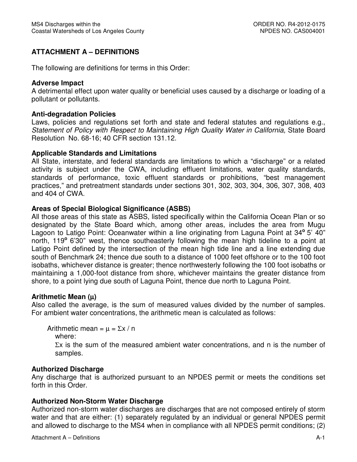# **ATTACHMENT A – DEFINITIONS**

The following are definitions for terms in this Order:

### **Adverse Impact**

 A detrimental effect upon water quality or beneficial uses caused by a discharge or loading of a pollutant or pollutants.

### **Anti-degradation Policies**

 Laws, policies and regulations set forth and state and federal statutes and regulations e.g., Statement of Policy with Respect to Maintaining High Quality Water in California, State Board Resolution No. 68-16; 40 CFR section 131.12.

#### **Applicable Standards and Limitations**

 All State, interstate, and federal standards are limitations to which a "discharge" or a related activity is subject under the CWA, including effluent limitations, water quality standards, standards of performance, toxic effluent standards or prohibitions, "best management practices," and pretreatment standards under sections 301, 302, 303, 304, 306, 307, 308, 403 and 404 of CWA.

## **Areas of Special Biological Significance (ASBS)**

 All those areas of this state as ASBS, listed specifically within the California Ocean Plan or so designated by the State Board which, among other areas, includes the area from Mugu Lagoon to Latigo Point: Oceanwater within a line originating from Laguna Point at 34° 5' 40" north, 119**<sup>o</sup>**6'30" west, thence southeasterly following the mean high tideline to a point at Latigo Point defined by the intersection of the mean high tide line and a line extending due south of Benchmark 24; thence due south to a distance of 1000 feet offshore or to the 100 foot isobaths, whichever distance is greater; thence northwesterly following the 100 foot isobaths or maintaining a 1,000-foot distance from shore, whichever maintains the greater distance from shore, to a point lying due south of Laguna Point, thence due north to Laguna Point.

### **Arithmetic Mean (μ)**

 Also called the average, is the sum of measured values divided by the number of samples. For ambient water concentrations, the arithmetic mean is calculated as follows:

Arithmetic mean =  $\mu$  =  $\Sigma x / n$ 

where:

 $\Sigma$ x is the sum of the measured ambient water concentrations, and n is the number of samples.

### **Authorized Discharge**

 Any discharge that is authorized pursuant to an NPDES permit or meets the conditions set forth in this Order.

## **Authorized Non-Storm Water Discharge**

 Authorized non-storm water discharges are discharges that are not composed entirely of storm water and that are either: (1) separately regulated by an individual or general NPDES permit and allowed to discharge to the MS4 when in compliance with all NPDES permit conditions; (2)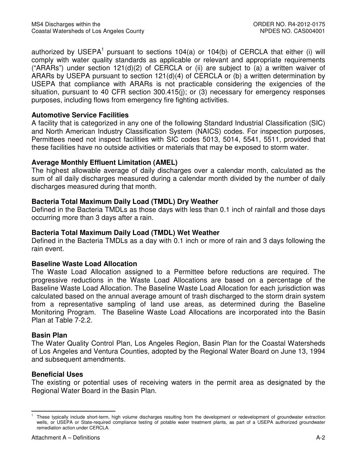authorized by USEPA<sup>1</sup> pursuant to sections 104(a) or 104(b) of CERCLA that either (i) will comply with water quality standards as applicable or relevant and appropriate requirements ("ARARs") under section 121(d)(2) of CERCLA or (ii) are subject to (a) a written waiver of ARARs by USEPA pursuant to section 121(d)(4) of CERCLA or (b) a written determination by USEPA that compliance with ARARs is not practicable considering the exigencies of the situation, pursuant to 40 CFR section 300.415(j); or (3) necessary for emergency responses purposes, including flows from emergency fire fighting activities.

### **Automotive Service Facilities**

 A facility that is categorized in any one of the following Standard Industrial Classification (SIC) and North American Industry Classification System (NAICS) codes. For inspection purposes, Permittees need not inspect facilities with SIC codes 5013, 5014, 5541, 5511, provided that these facilities have no outside activities or materials that may be exposed to storm water.

## **Average Monthly Effluent Limitation (AMEL)**

 The highest allowable average of daily discharges over a calendar month, calculated as the sum of all daily discharges measured during a calendar month divided by the number of daily discharges measured during that month.

# **Bacteria Total Maximum Daily Load (TMDL) Dry Weather**

 Defined in the Bacteria TMDLs as those days with less than 0.1 inch of rainfall and those days occurring more than 3 days after a rain.

## **Bacteria Total Maximum Daily Load (TMDL) Wet Weather**

 Defined in the Bacteria TMDLs as a day with 0.1 inch or more of rain and 3 days following the rain event.

# **Baseline Waste Load Allocation**

 The Waste Load Allocation assigned to a Permittee before reductions are required. The progressive reductions in the Waste Load Allocations are based on a percentage of the Baseline Waste Load Allocation. The Baseline Waste Load Allocation for each jurisdiction was calculated based on the annual average amount of trash discharged to the storm drain system from a representative sampling of land use areas, as determined during the Baseline Monitoring Program. The Baseline Waste Load Allocations are incorporated into the Basin Plan at Table 7-2.2.

## **Basin Plan**

 $\overline{a}$ 

 The Water Quality Control Plan, Los Angeles Region, Basin Plan for the Coastal Watersheds of Los Angeles and Ventura Counties, adopted by the Regional Water Board on June 13, 1994 and subsequent amendments.

# **Beneficial Uses**

 The existing or potential uses of receiving waters in the permit area as designated by the Regional Water Board in the Basin Plan.

 wells, or USEPA or State-required compliance testing of potable water treatment plants, as part of a USEPA authorized groundwater remediation action under CERCLA. 1 These typically include short-term, high volume discharges resulting from the development or redevelopment of groundwater extraction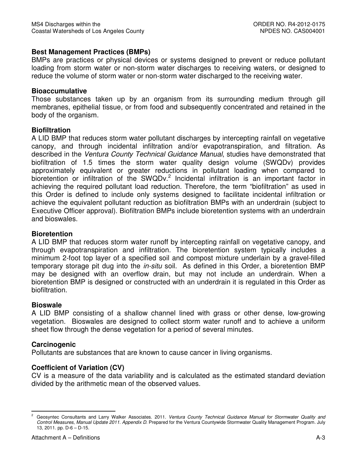### **Best Management Practices (BMPs)**

 BMPs are practices or physical devices or systems designed to prevent or reduce pollutant loading from storm water or non-storm water discharges to receiving waters, or designed to reduce the volume of storm water or non-storm water discharged to the receiving water.

#### **Bioaccumulative**

 Those substances taken up by an organism from its surrounding medium through gill membranes, epithelial tissue, or from food and subsequently concentrated and retained in the body of the organism.

#### **Biofiltration**

 A LID BMP that reduces storm water pollutant discharges by intercepting rainfall on vegetative canopy, and through incidental infiltration and/or evapotranspiration, and filtration. As described in the Ventura County Technical Guidance Manual, studies have demonstrated that biofiltration of 1.5 times the storm water quality design volume (SWQDv) provides approximately equivalent or greater reductions in pollutant loading when compared to bioretention or infiltration of the SWQDv.<sup>2</sup> Incidental infiltration is an important factor in achieving the required pollutant load reduction. Therefore, the term "biofiltration" as used in this Order is defined to include only systems designed to facilitate incidental infiltration or achieve the equivalent pollutant reduction as biofiltration BMPs with an underdrain (subject to Executive Officer approval). Biofiltration BMPs include bioretention systems with an underdrain and bioswales.

#### **Bioretention**

 A LID BMP that reduces storm water runoff by intercepting rainfall on vegetative canopy, and through evapotranspiration and infiltration. The bioretention system typically includes a minimum 2-foot top layer of a specified soil and compost mixture underlain by a gravel-filled temporary storage pit dug into the *in-situ* soil. As defined in this Order, a bioretention BMP may be designed with an overflow drain, but may not include an underdrain. When a bioretention BMP is designed or constructed with an underdrain it is regulated in this Order as biofiltration.

#### **Bioswale**

 A LID BMP consisting of a shallow channel lined with grass or other dense, low-growing vegetation. Bioswales are designed to collect storm water runoff and to achieve a uniform sheet flow through the dense vegetation for a period of several minutes.

#### **Carcinogenic**

 $\overline{a}$ 

Pollutants are substances that are known to cause cancer in living organisms.

#### **Coefficient of Variation (CV)**

 CV is a measure of the data variability and is calculated as the estimated standard deviation divided by the arithmetic mean of the observed values.

Control Measures, Manual Update 2011. Appendix D. Prepared for the Ventura Countywide Stormwater Quality Management Program. July 13, 2011. pp. D-6 – D-15. Geosyntec Consultants and Larry Walker Associates. 2011. Ventura County Technical Guidance Manual for Stormwater Quality and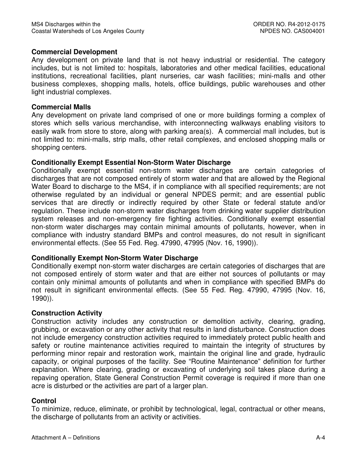### **Commercial Development**

 Any development on private land that is not heavy industrial or residential. The category includes, but is not limited to: hospitals, laboratories and other medical facilities, educational institutions, recreational facilities, plant nurseries, car wash facilities; mini-malls and other business complexes, shopping malls, hotels, office buildings, public warehouses and other light industrial complexes.

### **Commercial Malls**

 Any development on private land comprised of one or more buildings forming a complex of stores which sells various merchandise, with interconnecting walkways enabling visitors to easily walk from store to store, along with parking area(s). A commercial mall includes, but is not limited to: mini-malls, strip malls, other retail complexes, and enclosed shopping malls or shopping centers.

#### **Conditionally Exempt Essential Non-Storm Water Discharge**

 Conditionally exempt essential non-storm water discharges are certain categories of discharges that are not composed entirely of storm water and that are allowed by the Regional Water Board to discharge to the MS4, if in compliance with all specified requirements; are not otherwise regulated by an individual or general NPDES permit; and are essential public services that are directly or indirectly required by other State or federal statute and/or regulation. These include non-storm water discharges from drinking water supplier distribution system releases and non-emergency fire fighting activities. Conditionally exempt essential non-storm water discharges may contain minimal amounts of pollutants, however, when in compliance with industry standard BMPs and control measures, do not result in significant environmental effects. (See 55 Fed. Reg. 47990, 47995 (Nov. 16, 1990)).

### **Conditionally Exempt Non-Storm Water Discharge**

 Conditionally exempt non-storm water discharges are certain categories of discharges that are not composed entirely of storm water and that are either not sources of pollutants or may contain only minimal amounts of pollutants and when in compliance with specified BMPs do not result in significant environmental effects. (See 55 Fed. Reg. 47990, 47995 (Nov. 16, 1990)).

#### **Construction Activity**

 Construction activity includes any construction or demolition activity, clearing, grading, grubbing, or excavation or any other activity that results in land disturbance. Construction does not include emergency construction activities required to immediately protect public health and safety or routine maintenance activities required to maintain the integrity of structures by performing minor repair and restoration work, maintain the original line and grade, hydraulic capacity, or original purposes of the facility. See "Routine Maintenance" definition for further explanation. Where clearing, grading or excavating of underlying soil takes place during a repaving operation, State General Construction Permit coverage is required if more than one acre is disturbed or the activities are part of a larger plan.

### **Control**

 To minimize, reduce, eliminate, or prohibit by technological, legal, contractual or other means, the discharge of pollutants from an activity or activities.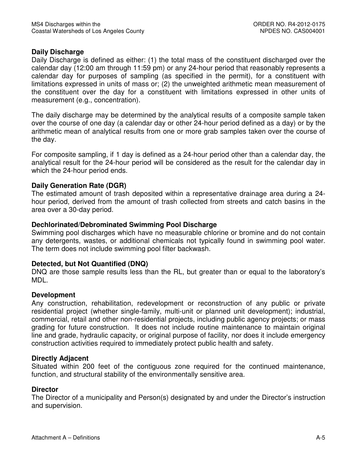## **Daily Discharge**

 Daily Discharge is defined as either: (1) the total mass of the constituent discharged over the calendar day (12:00 am through 11:59 pm) or any 24-hour period that reasonably represents a calendar day for purposes of sampling (as specified in the permit), for a constituent with limitations expressed in units of mass or; (2) the unweighted arithmetic mean measurement of the constituent over the day for a constituent with limitations expressed in other units of measurement (e.g., concentration).

 The daily discharge may be determined by the analytical results of a composite sample taken over the course of one day (a calendar day or other 24-hour period defined as a day) or by the arithmetic mean of analytical results from one or more grab samples taken over the course of the day.

 For composite sampling, if 1 day is defined as a 24-hour period other than a calendar day, the analytical result for the 24-hour period will be considered as the result for the calendar day in which the 24-hour period ends.

#### **Daily Generation Rate (DGR)**

 The estimated amount of trash deposited within a representative drainage area during a 24- hour period, derived from the amount of trash collected from streets and catch basins in the area over a 30-day period.

### **Dechlorinated/Debrominated Swimming Pool Discharge**

 Swimming pool discharges which have no measurable chlorine or bromine and do not contain any detergents, wastes, or additional chemicals not typically found in swimming pool water. The term does not include swimming pool filter backwash.

### **Detected, but Not Quantified (DNQ)**

 DNQ are those sample results less than the RL, but greater than or equal to the laboratory's MDL.

#### **Development**

 Any construction, rehabilitation, redevelopment or reconstruction of any public or private residential project (whether single-family, multi-unit or planned unit development); industrial, commercial, retail and other non-residential projects, including public agency projects; or mass grading for future construction. It does not include routine maintenance to maintain original line and grade, hydraulic capacity, or original purpose of facility, nor does it include emergency construction activities required to immediately protect public health and safety.

#### **Directly Adjacent**

 Situated within 200 feet of the contiguous zone required for the continued maintenance, function, and structural stability of the environmentally sensitive area.

#### **Director**

 The Director of a municipality and Person(s) designated by and under the Director's instruction and supervision.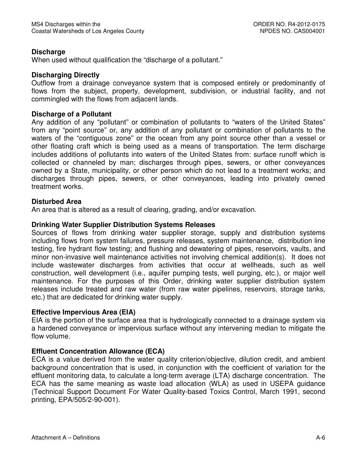### **Discharge**

When used without qualification the "discharge of a pollutant."

#### **Discharging Directly**

 Outflow from a drainage conveyance system that is composed entirely or predominantly of flows from the subject, property, development, subdivision, or industrial facility, and not commingled with the flows from adjacent lands.

### **Discharge of a Pollutant**

 Any addition of any "pollutant" or combination of pollutants to "waters of the United States" from any "point source" or, any addition of any pollutant or combination of pollutants to the waters of the "contiguous zone" or the ocean from any point source other than a vessel or other floating craft which is being used as a means of transportation. The term discharge includes additions of pollutants into waters of the United States from: surface runoff which is collected or channeled by man; discharges through pipes, sewers, or other conveyances owned by a State, municipality, or other person which do not lead to a treatment works; and discharges through pipes, sewers, or other conveyances, leading into privately owned treatment works.

### **Disturbed Area**

An area that is altered as a result of clearing, grading, and/or excavation.

#### **Drinking Water Supplier Distribution Systems Releases**

 Sources of flows from drinking water supplier storage, supply and distribution systems including flows from system failures, pressure releases, system maintenance, distribution line testing, fire hydrant flow testing; and flushing and dewatering of pipes, reservoirs, vaults, and minor non-invasive well maintenance activities not involving chemical addition(s). It does not include wastewater discharges from activities that occur at wellheads, such as well construction, well development (i.e., aquifer pumping tests, well purging, etc.), or major well maintenance. For the purposes of this Order, drinking water supplier distribution system releases include treated and raw water (from raw water pipelines, reservoirs, storage tanks, etc.) that are dedicated for drinking water supply.

### **Effective Impervious Area (EIA)**

 EIA is the portion of the surface area that is hydrologically connected to a drainage system via a hardened conveyance or impervious surface without any intervening median to mitigate the flow volume.

### **Effluent Concentration Allowance (ECA)**

 ECA is a value derived from the water quality criterion/objective, dilution credit, and ambient background concentration that is used, in conjunction with the coefficient of variation for the effluent monitoring data, to calculate a long-term average (LTA) discharge concentration. The ECA has the same meaning as waste load allocation (WLA) as used in USEPA guidance (Technical Support Document For Water Quality-based Toxics Control, March 1991, second printing, EPA/505/2-90-001).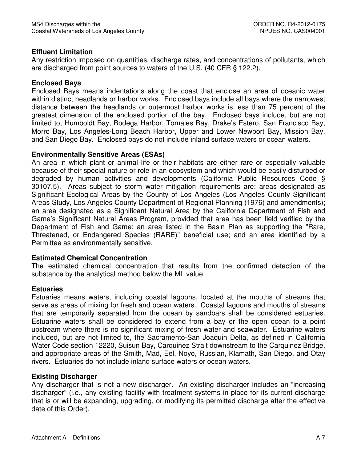## **Effluent Limitation**

 Any restriction imposed on quantities, discharge rates, and concentrations of pollutants, which are discharged from point sources to waters of the U.S. (40 CFR § 122.2).

## **Enclosed Bays**

 Enclosed Bays means indentations along the coast that enclose an area of oceanic water within distinct headlands or harbor works. Enclosed bays include all bays where the narrowest distance between the headlands or outermost harbor works is less than 75 percent of the greatest dimension of the enclosed portion of the bay. Enclosed bays include, but are not limited to, Humboldt Bay, Bodega Harbor, Tomales Bay, Drake's Estero, San Francisco Bay, Morro Bay, Los Angeles-Long Beach Harbor, Upper and Lower Newport Bay, Mission Bay, and San Diego Bay. Enclosed bays do not include inland surface waters or ocean waters.

## **Environmentally Sensitive Areas (ESAs)**

 An area in which plant or animal life or their habitats are either rare or especially valuable because of their special nature or role in an ecosystem and which would be easily disturbed or degraded by human activities and developments (California Public Resources Code § 30107.5). Areas subject to storm water mitigation requirements are: areas designated as Significant Ecological Areas by the County of Los Angeles (Los Angeles County Significant Areas Study, Los Angeles County Department of Regional Planning (1976) and amendments); an area designated as a Significant Natural Area by the California Department of Fish and Game's Significant Natural Areas Program, provided that area has been field verified by the Department of Fish and Game; an area listed in the Basin Plan as supporting the "Rare, Threatened, or Endangered Species (RARE)" beneficial use; and an area identified by a Permittee as environmentally sensitive.

## **Estimated Chemical Concentration**

 The estimated chemical concentration that results from the confirmed detection of the substance by the analytical method below the ML value.

# **Estuaries**

 Estuaries means waters, including coastal lagoons, located at the mouths of streams that serve as areas of mixing for fresh and ocean waters. Coastal lagoons and mouths of streams that are temporarily separated from the ocean by sandbars shall be considered estuaries. Estuarine waters shall be considered to extend from a bay or the open ocean to a point upstream where there is no significant mixing of fresh water and seawater. Estuarine waters included, but are not limited to, the Sacramento-San Joaquin Delta, as defined in California Water Code section 12220, Suisun Bay, Carquinez Strait downstream to the Carquinez Bridge, and appropriate areas of the Smith, Mad, Eel, Noyo, Russian, Klamath, San Diego, and Otay rivers. Estuaries do not include inland surface waters or ocean waters.

### **Existing Discharger**

 Any discharger that is not a new discharger. An existing discharger includes an "increasing discharger" (i.e., any existing facility with treatment systems in place for its current discharge that is or will be expanding, upgrading, or modifying its permitted discharge after the effective date of this Order).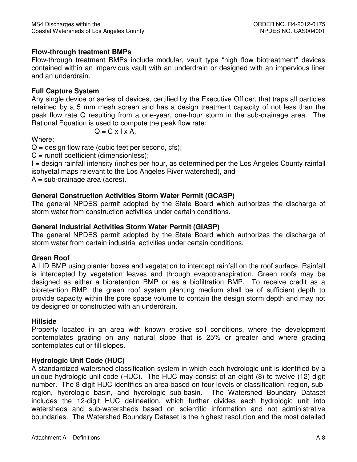## **Flow-through treatment BMPs**

 Flow-through treatment BMPs include modular, vault type "high flow biotreatment" devices contained within an impervious vault with an underdrain or designed with an impervious liner and an underdrain.

### **Full Capture System**

 Any single device or series of devices, certified by the Executive Officer, that traps all particles retained by a 5 mm mesh screen and has a design treatment capacity of not less than the peak flow rate Q resulting from a one-year, one-hour storm in the sub-drainage area. The Rational Equation is used to compute the peak flow rate:

$$
Q = C \times I \times A,
$$

Where:

Where:<br>Q = design flow rate (cubic feet per second, cfs);

C = runoff coefficient (dimensionless);

 I = design rainfall intensity (inches per hour, as determined per the Los Angeles County rainfall isohyetal maps relevant to the Los Angeles River watershed), and

A = sub-drainage area (acres).

## **General Construction Activities Storm Water Permit (GCASP)**

 The general NPDES permit adopted by the State Board which authorizes the discharge of storm water from construction activities under certain conditions.

## **General Industrial Activities Storm Water Permit (GIASP)**

 The general NPDES permit adopted by the State Board which authorizes the discharge of storm water from certain industrial activities under certain conditions.

## **Green Roof**

 A LID BMP using planter boxes and vegetation to intercept rainfall on the roof surface. Rainfall is intercepted by vegetation leaves and through evapotranspiration. Green roofs may be designed as either a bioretention BMP or as a biofiltration BMP. To receive credit as a bioretention BMP, the green roof system planting medium shall be of sufficient depth to provide capacity within the pore space volume to contain the design storm depth and may not be designed or constructed with an underdrain.

### **Hillside**

 Property located in an area with known erosive soil conditions, where the development contemplates grading on any natural slope that is 25% or greater and where grading contemplates cut or fill slopes.

### **Hydrologic Unit Code (HUC)**

 A standardized watershed classification system in which each hydrologic unit is identified by a unique hydrologic unit code (HUC). The HUC may consist of an eight (8) to twelve (12) digit number. The 8-digit HUC identifies an area based on four levels of classification: region, sub- region, hydrologic basin, and hydrologic sub-basin. The Watershed Boundary Dataset includes the 12-digit HUC delineation, which further divides each hydrologic unit into watersheds and sub-watersheds based on scientific information and not administrative boundaries. The Watershed Boundary Dataset is the highest resolution and the most detailed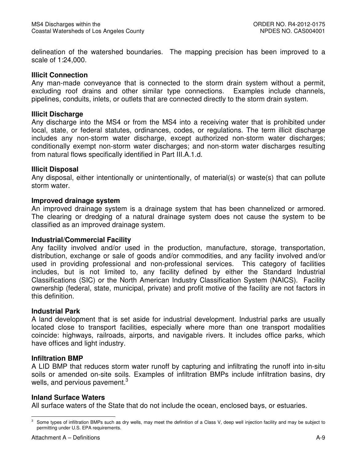delineation of the watershed boundaries. The mapping precision has been improved to a scale of 1:24,000.

#### **Illicit Connection**

 Any man-made conveyance that is connected to the storm drain system without a permit, excluding roof drains and other similar type connections. Examples include channels, pipelines, conduits, inlets, or outlets that are connected directly to the storm drain system.

### **Illicit Discharge**

 Any discharge into the MS4 or from the MS4 into a receiving water that is prohibited under local, state, or federal statutes, ordinances, codes, or regulations. The term illicit discharge includes any non-storm water discharge, except authorized non-storm water discharges; conditionally exempt non-storm water discharges; and non-storm water discharges resulting from natural flows specifically identified in Part III.A.1.d.

### **Illicit Disposal**

 Any disposal, either intentionally or unintentionally, of material(s) or waste(s) that can pollute storm water.

#### **Improved drainage system**

 An improved drainage system is a drainage system that has been channelized or armored. The clearing or dredging of a natural drainage system does not cause the system to be classified as an improved drainage system.

#### **Industrial/Commercial Facility**

 Any facility involved and/or used in the production, manufacture, storage, transportation, distribution, exchange or sale of goods and/or commodities, and any facility involved and/or used in providing professional and non-professional services. This category of facilities includes, but is not limited to, any facility defined by either the Standard Industrial Classifications (SIC) or the North American Industry Classification System (NAICS). Facility ownership (federal, state, municipal, private) and profit motive of the facility are not factors in this definition.

#### **Industrial Park**

 A land development that is set aside for industrial development. Industrial parks are usually located close to transport facilities, especially where more than one transport modalities coincide: highways, railroads, airports, and navigable rivers. It includes office parks, which have offices and light industry.

## **Infiltration BMP**

l

 A LID BMP that reduces storm water runoff by capturing and infiltrating the runoff into in-situ soils or amended on-site soils. Examples of infiltration BMPs include infiltration basins, dry wells, and pervious pavement. $3$ 

#### **Inland Surface Waters**

All surface waters of the State that do not include the ocean, enclosed bays, or estuaries.

 permitting under U.S. EPA requirements. Some types of infiltration BMPs such as dry wells, may meet the definition of a Class V, deep well injection facility and may be subject to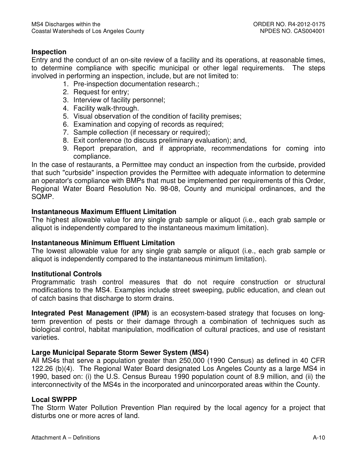## **Inspection**

 Entry and the conduct of an on-site review of a facility and its operations, at reasonable times, to determine compliance with specific municipal or other legal requirements. The steps involved in performing an inspection, include, but are not limited to:

- 1. Pre-inspection documentation research.;
- 2. Request for entry;
- 3. Interview of facility personnel;
- 4. Facility walk-through.
- 5. Visual observation of the condition of facility premises;
- 6. Examination and copying of records as required;
- 7. Sample collection (if necessary or required);
- 8. Exit conference (to discuss preliminary evaluation); and,
- 9. Report preparation, and if appropriate, recommendations for coming into compliance.

 In the case of restaurants, a Permittee may conduct an inspection from the curbside, provided that such "curbside" inspection provides the Permittee with adequate information to determine an operator's compliance with BMPs that must be implemented per requirements of this Order, Regional Water Board Resolution No. 98-08, County and municipal ordinances, and the SQMP.

### **Instantaneous Maximum Effluent Limitation**

 The highest allowable value for any single grab sample or aliquot (i.e., each grab sample or aliquot is independently compared to the instantaneous maximum limitation).

### **Instantaneous Minimum Effluent Limitation**

 The lowest allowable value for any single grab sample or aliquot (i.e., each grab sample or aliquot is independently compared to the instantaneous minimum limitation).

### **Institutional Controls**

 Programmatic trash control measures that do not require construction or structural modifications to the MS4. Examples include street sweeping, public education, and clean out of catch basins that discharge to storm drains.

 **Integrated Pest Management (IPM)** is an ecosystem-based strategy that focuses on long- term prevention of pests or their damage through a combination of techniques such as biological control, habitat manipulation, modification of cultural practices, and use of resistant varieties.

## **Large Municipal Separate Storm Sewer System (MS4)**

 All MS4s that serve a population greater than 250,000 (1990 Census) as defined in 40 CFR 122.26 (b)(4). The Regional Water Board designated Los Angeles County as a large MS4 in 1990, based on: (i) the U.S. Census Bureau 1990 population count of 8.9 million, and (ii) the interconnectivity of the MS4s in the incorporated and unincorporated areas within the County.

# **Local SWPPP**

 The Storm Water Pollution Prevention Plan required by the local agency for a project that disturbs one or more acres of land.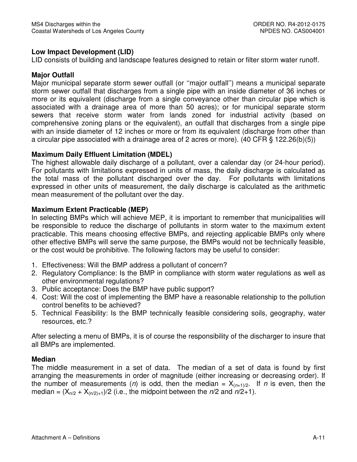## **Low Impact Development (LID)**

LID consists of building and landscape features designed to retain or filter storm water runoff.

## **Major Outfall**

 Major municipal separate storm sewer outfall (or ''major outfall'') means a municipal separate storm sewer outfall that discharges from a single pipe with an inside diameter of 36 inches or more or its equivalent (discharge from a single conveyance other than circular pipe which is associated with a drainage area of more than 50 acres); or for municipal separate storm sewers that receive storm water from lands zoned for industrial activity (based on comprehensive zoning plans or the equivalent), an outfall that discharges from a single pipe with an inside diameter of 12 inches or more or from its equivalent (discharge from other than a circular pipe associated with a drainage area of 2 acres or more). (40 CFR § 122.26(b)(5))

## **Maximum Daily Effluent Limitation (MDEL)**

 The highest allowable daily discharge of a pollutant, over a calendar day (or 24-hour period). For pollutants with limitations expressed in units of mass, the daily discharge is calculated as the total mass of the pollutant discharged over the day. For pollutants with limitations expressed in other units of measurement, the daily discharge is calculated as the arithmetic mean measurement of the pollutant over the day.

## **Maximum Extent Practicable (MEP)**

 In selecting BMPs which will achieve MEP, it is important to remember that municipalities will be responsible to reduce the discharge of pollutants in storm water to the maximum extent practicable. This means choosing effective BMPs, and rejecting applicable BMPs only where other effective BMPs will serve the same purpose, the BMPs would not be technically feasible, or the cost would be prohibitive. The following factors may be useful to consider:

- 1. Effectiveness: Will the BMP address a pollutant of concern?
- 2. Regulatory Compliance: Is the BMP in compliance with storm water regulations as well as other environmental regulations?
- 3. Public acceptance: Does the BMP have public support?
- 4. Cost: Will the cost of implementing the BMP have a reasonable relationship to the pollution control benefits to be achieved?
- 5. Technical Feasibility: Is the BMP technically feasible considering soils, geography, water resources, etc.?

 After selecting a menu of BMPs, it is of course the responsibility of the discharger to insure that all BMPs are implemented.

### **Median**

 The middle measurement in a set of data. The median of a set of data is found by first arranging the measurements in order of magnitude (either increasing or decreasing order). If the number of measurements (n) is odd, then the median =  $X_{(n+1)/2}$ . If n is even, then the median =  $(X_{n/2} + X_{(n/2)+1})/2$  (i.e., the midpoint between the  $n/2$  and  $n/2+1$ ).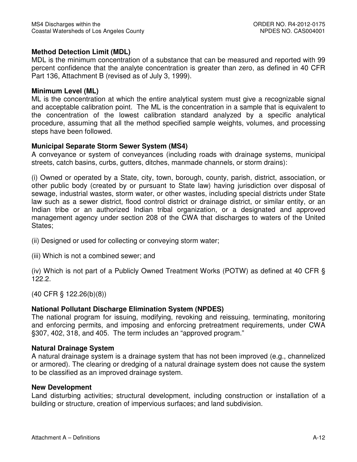## **Method Detection Limit (MDL)**

 MDL is the minimum concentration of a substance that can be measured and reported with 99 percent confidence that the analyte concentration is greater than zero, as defined in 40 CFR Part 136, Attachment B (revised as of July 3, 1999).

#### **Minimum Level (ML)**

 ML is the concentration at which the entire analytical system must give a recognizable signal and acceptable calibration point. The ML is the concentration in a sample that is equivalent to the concentration of the lowest calibration standard analyzed by a specific analytical procedure, assuming that all the method specified sample weights, volumes, and processing steps have been followed.

### **Municipal Separate Storm Sewer System (MS4)**

 A conveyance or system of conveyances (including roads with drainage systems, municipal streets, catch basins, curbs, gutters, ditches, manmade channels, or storm drains):

 (i) Owned or operated by a State, city, town, borough, county, parish, district, association, or other public body (created by or pursuant to State law) having jurisdiction over disposal of sewage, industrial wastes, storm water, or other wastes, including special districts under State law such as a sewer district, flood control district or drainage district, or similar entity, or an Indian tribe or an authorized Indian tribal organization, or a designated and approved management agency under section 208 of the CWA that discharges to waters of the United States;

(ii) Designed or used for collecting or conveying storm water;

(iii) Which is not a combined sewer; and

 (iv) Which is not part of a Publicly Owned Treatment Works (POTW) as defined at 40 CFR §  $122.2.$ 

122.2.<br>(40 CFR § 122.26(b)(8))

## **National Pollutant Discharge Elimination System (NPDES)**

 The national program for issuing, modifying, revoking and reissuing, terminating, monitoring and enforcing permits, and imposing and enforcing pretreatment requirements, under CWA §307, 402, 318, and 405. The term includes an "approved program."

#### **Natural Drainage System**

 A natural drainage system is a drainage system that has not been improved (e.g., channelized or armored). The clearing or dredging of a natural drainage system does not cause the system to be classified as an improved drainage system.

#### **New Development**

 Land disturbing activities; structural development, including construction or installation of a building or structure, creation of impervious surfaces; and land subdivision.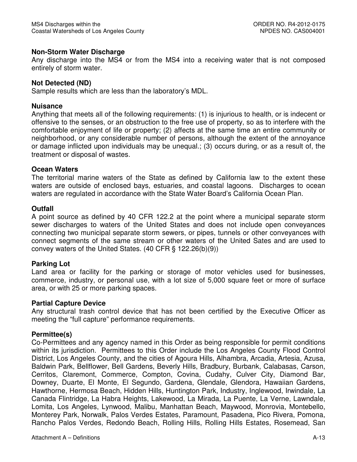## **Non-Storm Water Discharge**

 Any discharge into the MS4 or from the MS4 into a receiving water that is not composed entirely of storm water.

## **Not Detected (ND)**

Sample results which are less than the laboratory's MDL.

#### **Nuisance**

 Anything that meets all of the following requirements: (1) is injurious to health, or is indecent or offensive to the senses, or an obstruction to the free use of property, so as to interfere with the comfortable enjoyment of life or property; (2) affects at the same time an entire community or neighborhood, or any considerable number of persons, although the extent of the annoyance or damage inflicted upon individuals may be unequal.; (3) occurs during, or as a result of, the treatment or disposal of wastes.

#### **Ocean Waters**

 The territorial marine waters of the State as defined by California law to the extent these waters are outside of enclosed bays, estuaries, and coastal lagoons. Discharges to ocean waters are regulated in accordance with the State Water Board's California Ocean Plan.

### **Outfall**

 A point source as defined by 40 CFR 122.2 at the point where a municipal separate storm sewer discharges to waters of the United States and does not include open conveyances connecting two municipal separate storm sewers, or pipes, tunnels or other conveyances with connect segments of the same stream or other waters of the United Sates and are used to convey waters of the United States. (40 CFR § 122.26(b)(9))

### **Parking Lot**

 Land area or facility for the parking or storage of motor vehicles used for businesses, commerce, industry, or personal use, with a lot size of 5,000 square feet or more of surface area, or with 25 or more parking spaces.

#### **Partial Capture Device**

 Any structural trash control device that has not been certified by the Executive Officer as meeting the "full capture" performance requirements.

#### **Permittee(s)**

 Co-Permittees and any agency named in this Order as being responsible for permit conditions within its jurisdiction. Permittees to this Order include the Los Angeles County Flood Control District, Los Angeles County, and the cities of Agoura Hills, Alhambra, Arcadia, Artesia, Azusa, Baldwin Park, Bellflower, Bell Gardens, Beverly Hills, Bradbury, Burbank, Calabasas, Carson, Cerritos, Claremont, Commerce, Compton, Covina, Cudahy, Culver City, Diamond Bar, Downey, Duarte, El Monte, El Segundo, Gardena, Glendale, Glendora, Hawaiian Gardens, Hawthorne, Hermosa Beach, Hidden Hills, Huntington Park, Industry, Inglewood, Irwindale, La Canada Flintridge, La Habra Heights, Lakewood, La Mirada, La Puente, La Verne, Lawndale, Lomita, Los Angeles, Lynwood, Malibu, Manhattan Beach, Maywood, Monrovia, Montebello, Monterey Park, Norwalk, Palos Verdes Estates, Paramount, Pasadena, Pico Rivera, Pomona, Rancho Palos Verdes, Redondo Beach, Rolling Hills, Rolling Hills Estates, Rosemead, San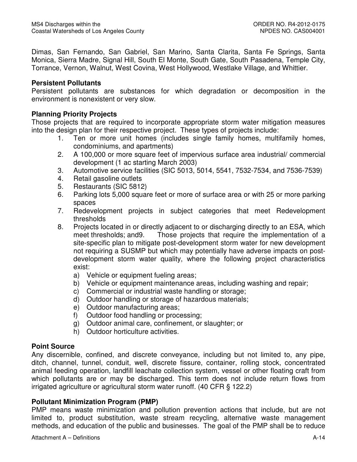Dimas, San Fernando, San Gabriel, San Marino, Santa Clarita, Santa Fe Springs, Santa Monica, Sierra Madre, Signal Hill, South El Monte, South Gate, South Pasadena, Temple City, Torrance, Vernon, Walnut, West Covina, West Hollywood, Westlake Village, and Whittier.

## **Persistent Pollutants**

 Persistent pollutants are substances for which degradation or decomposition in the environment is nonexistent or very slow.

## **Planning Priority Projects**

 Those projects that are required to incorporate appropriate storm water mitigation measures into the design plan for their respective project. These types of projects include:

- $1<sub>1</sub>$  condominiums, and apartments) 1. Ten or more unit homes (includes single family homes, multifamily homes,
- $2.$  development (1 ac starting March 2003) 2. A 100,000 or more square feet of impervious surface area industrial/ commercial
- 3. Automotive service facilities (SIC 5013, 5014, 5541, 7532-7534, and 7536-7539)
- $4.$ Retail gasoline outlets
- 5. Restaurants (SIC 5812)
- 6. Parking lots 5,000 square feet or more of surface area or with 25 or more parking spaces
- 7. Redevelopment projects in subject categories that meet Redevelopment thresholds
- 8. meet thresholds: and 9. site-specific plan to mitigate post-development storm water for new development not requiring a SUSMP but which may potentially have adverse impacts on post- development storm water quality, where the following project characteristics 8. Projects located in or directly adjacent to or discharging directly to an ESA, which Those projects that require the implementation of a exist:
	- $a)$ Vehicle or equipment fueling areas;
	- b) Vehicle or equipment maintenance areas, including washing and repair;
	- c) Commercial or industrial waste handling or storage;
	- d) Outdoor handling or storage of hazardous materials;
	- e) Outdoor manufacturing areas;
	- $f$ ) Outdoor food handling or processing;
	- g) Outdoor animal care, confinement, or slaughter; or
	- h) Outdoor horticulture activities.

### **Point Source**

 Any discernible, confined, and discrete conveyance, including but not limited to, any pipe, ditch, channel, tunnel, conduit, well, discrete fissure, container, rolling stock, concentrated animal feeding operation, landfill leachate collection system, vessel or other floating craft from which pollutants are or may be discharged. This term does not include return flows from irrigated agriculture or agricultural storm water runoff. (40 CFR § 122.2)

## **Pollutant Minimization Program (PMP)**

 PMP means waste minimization and pollution prevention actions that include, but are not limited to, product substitution, waste stream recycling, alternative waste management methods, and education of the public and businesses. The goal of the PMP shall be to reduce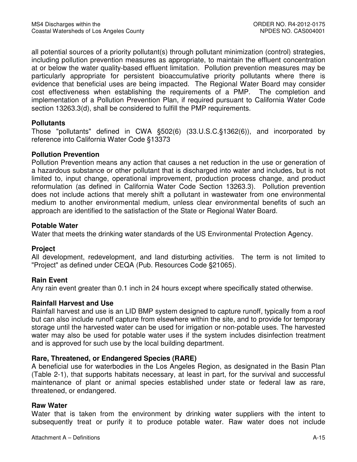all potential sources of a priority pollutant(s) through pollutant minimization (control) strategies, including pollution prevention measures as appropriate, to maintain the effluent concentration at or below the water quality-based effluent limitation. Pollution prevention measures may be particularly appropriate for persistent bioaccumulative priority pollutants where there is evidence that beneficial uses are being impacted. The Regional Water Board may consider cost effectiveness when establishing the requirements of a PMP. The completion and implementation of a Pollution Prevention Plan, if required pursuant to California Water Code section 13263.3(d), shall be considered to fulfill the PMP requirements.

## **Pollutants**

 Those "pollutants" defined in CWA §502(6) (33.U.S.C.§1362(6)), and incorporated by reference into California Water Code §13373

### **Pollution Prevention**

 Pollution Prevention means any action that causes a net reduction in the use or generation of a hazardous substance or other pollutant that is discharged into water and includes, but is not limited to, input change, operational improvement, production process change, and product reformulation (as defined in California Water Code Section 13263.3). Pollution prevention does not include actions that merely shift a pollutant in wastewater from one environmental medium to another environmental medium, unless clear environmental benefits of such an approach are identified to the satisfaction of the State or Regional Water Board.

## **Potable Water**

Water that meets the drinking water standards of the US Environmental Protection Agency.

# **Project**

 All development, redevelopment, and land disturbing activities. The term is not limited to "Project" as defined under CEQA (Pub. Resources Code §21065).

# **Rain Event**

Any rain event greater than 0.1 inch in 24 hours except where specifically stated otherwise.

# **Rainfall Harvest and Use**

 Rainfall harvest and use is an LID BMP system designed to capture runoff, typically from a roof but can also include runoff capture from elsewhere within the site, and to provide for temporary storage until the harvested water can be used for irrigation or non-potable uses. The harvested water may also be used for potable water uses if the system includes disinfection treatment and is approved for such use by the local building department.

# **Rare, Threatened, or Endangered Species (RARE)**

 A beneficial use for waterbodies in the Los Angeles Region, as designated in the Basin Plan (Table 2-1), that supports habitats necessary, at least in part, for the survival and successful maintenance of plant or animal species established under state or federal law as rare, threatened, or endangered.

## **Raw Water**

 Water that is taken from the environment by drinking water suppliers with the intent to subsequently treat or purify it to produce potable water. Raw water does not include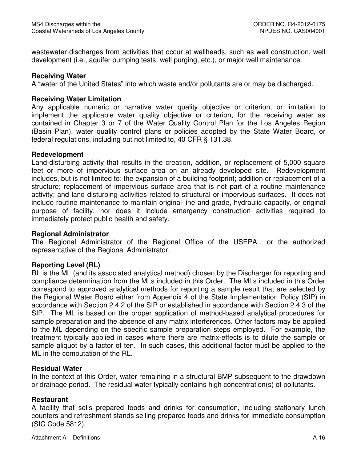wastewater discharges from activities that occur at wellheads, such as well construction, well development (i.e., aquifer pumping tests, well purging, etc.), or major well maintenance.

#### **Receiving Water**

A "water of the United States" into which waste and/or pollutants are or may be discharged.

#### **Receiving Water Limitation**

 Any applicable numeric or narrative water quality objective or criterion, or limitation to implement the applicable water quality objective or criterion, for the receiving water as contained in Chapter 3 or 7 of the Water Quality Control Plan for the Los Angeles Region (Basin Plan), water quality control plans or policies adopted by the State Water Board, or federal regulations, including but not limited to, 40 CFR § 131.38.

#### **Redevelopment**

 Land-disturbing activity that results in the creation, addition, or replacement of 5,000 square feet or more of impervious surface area on an already developed site. Redevelopment includes, but is not limited to: the expansion of a building footprint; addition or replacement of a structure; replacement of impervious surface area that is not part of a routine maintenance activity; and land disturbing activities related to structural or impervious surfaces. It does not include routine maintenance to maintain original line and grade, hydraulic capacity, or original purpose of facility, nor does it include emergency construction activities required to immediately protect public health and safety.

#### **Regional Administrator**

 The Regional Administrator of the Regional Office of the USEPA or the authorized representative of the Regional Administrator.

## **Reporting Level (RL)**

 RL is the ML (and its associated analytical method) chosen by the Discharger for reporting and compliance determination from the MLs included in this Order. The MLs included in this Order correspond to approved analytical methods for reporting a sample result that are selected by the Regional Water Board either from Appendix 4 of the State Implementation Policy (SIP) in accordance with Section 2.4.2 of the SIP or established in accordance with Section 2.4.3 of the SIP. The ML is based on the proper application of method-based analytical procedures for sample preparation and the absence of any matrix interferences. Other factors may be applied to the ML depending on the specific sample preparation steps employed. For example, the treatment typically applied in cases where there are matrix-effects is to dilute the sample or sample aliquot by a factor of ten. In such cases, this additional factor must be applied to the ML in the computation of the RL.

### **Residual Water**

 In the context of this Order, water remaining in a structural BMP subsequent to the drawdown or drainage period. The residual water typically contains high concentration(s) of pollutants.

#### **Restaurant**

 A facility that sells prepared foods and drinks for consumption, including stationary lunch counters and refreshment stands selling prepared foods and drinks for immediate consumption (SIC Code 5812).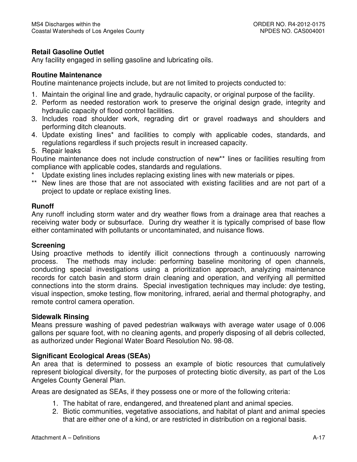# **Retail Gasoline Outlet**

Any facility engaged in selling gasoline and lubricating oils.

# **Routine Maintenance**

Routine maintenance projects include, but are not limited to projects conducted to:

- 1. Maintain the original line and grade, hydraulic capacity, or original purpose of the facility.
- 2. Perform as needed restoration work to preserve the original design grade, integrity and hydraulic capacity of flood control facilities.
- 3. Includes road shoulder work, regrading dirt or gravel roadways and shoulders and performing ditch cleanouts.
- 4. Update existing lines\* and facilities to comply with applicable codes, standards, and regulations regardless if such projects result in increased capacity.
- 5. Repair leaks

 Routine maintenance does not include construction of new\*\* lines or facilities resulting from compliance with applicable codes, standards and regulations.

- \* Update existing lines includes replacing existing lines with new materials or pipes.
- \*\* New lines are those that are not associated with existing facilities and are not part of a project to update or replace existing lines.

# **Runoff**

 Any runoff including storm water and dry weather flows from a drainage area that reaches a receiving water body or subsurface. During dry weather it is typically comprised of base flow either contaminated with pollutants or uncontaminated, and nuisance flows.

# **Screening**

 Using proactive methods to identify illicit connections through a continuously narrowing process. The methods may include: performing baseline monitoring of open channels, conducting special investigations using a prioritization approach, analyzing maintenance records for catch basin and storm drain cleaning and operation, and verifying all permitted connections into the storm drains. Special investigation techniques may include: dye testing, visual inspection, smoke testing, flow monitoring, infrared, aerial and thermal photography, and remote control camera operation.

# **Sidewalk Rinsing**

 Means pressure washing of paved pedestrian walkways with average water usage of 0.006 gallons per square foot, with no cleaning agents, and properly disposing of all debris collected, as authorized under Regional Water Board Resolution No. 98-08.

# **Significant Ecological Areas (SEAs)**

 An area that is determined to possess an example of biotic resources that cumulatively represent biological diversity, for the purposes of protecting biotic diversity, as part of the Los Angeles County General Plan.

Areas are designated as SEAs, if they possess one or more of the following criteria:

- 1. The habitat of rare, endangered, and threatened plant and animal species.
- 2. Biotic communities, vegetative associations, and habitat of plant and animal species that are either one of a kind, or are restricted in distribution on a regional basis.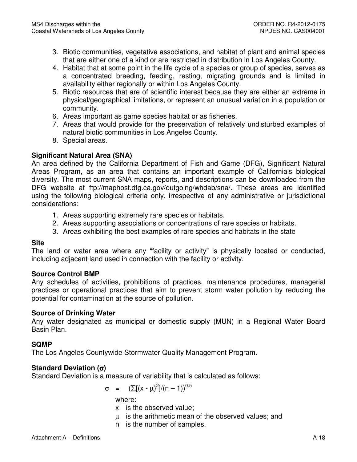- 3. Biotic communities, vegetative associations, and habitat of plant and animal species that are either one of a kind or are restricted in distribution in Los Angeles County.
- 4. Habitat that at some point in the life cycle of a species or group of species, serves as a concentrated breeding, feeding, resting, migrating grounds and is limited in availability either regionally or within Los Angeles County.
- 5. Biotic resources that are of scientific interest because they are either an extreme in physical/geographical limitations, or represent an unusual variation in a population or community.
- 6. Areas important as game species habitat or as fisheries.
- 7. Areas that would provide for the preservation of relatively undisturbed examples of natural biotic communities in Los Angeles County.
- 8. Special areas.

## **Significant Natural Area (SNA)**

 An area defined by the California Department of Fish and Game (DFG), Significant Natural Areas Program, as an area that contains an important example of California's biological diversity. The most current SNA maps, reports, and descriptions can be downloaded from the DFG website at [ftp://maphost.dfg.ca.gov/outgoing/whdab/sna/](http://ftp://maphost.dfg.ca.gov/outgoing/whdab/sna/). These areas are identified using the following biological criteria only, irrespective of any administrative or jurisdictional considerations:

- 1. Areas supporting extremely rare species or habitats.
- 2. Areas supporting associations or concentrations of rare species or habitats.
- 3. Areas exhibiting the best examples of rare species and habitats in the state

### **Site**

 The land or water area where any "facility or activity" is physically located or conducted, including adjacent land used in connection with the facility or activity.

## **Source Control BMP**

 Any schedules of activities, prohibitions of practices, maintenance procedures, managerial practices or operational practices that aim to prevent storm water pollution by reducing the potential for contamination at the source of pollution.

### **Source of Drinking Water**

 Any water designated as municipal or domestic supply (MUN) in a Regional Water Board Basin Plan.

### **SQMP**

The Los Angeles Countywide Stormwater Quality Management Program.

## **Standard Deviation (σ)**

Standard Deviation is a measure of variability that is calculated as follows:

$$
\sigma = (\Sigma[(x-\mu)^2]/(n-1))^{0.5}
$$

where:

- x is the observed value;
- $\mu$  is the arithmetic mean of the observed values; and
- n is the number of samples.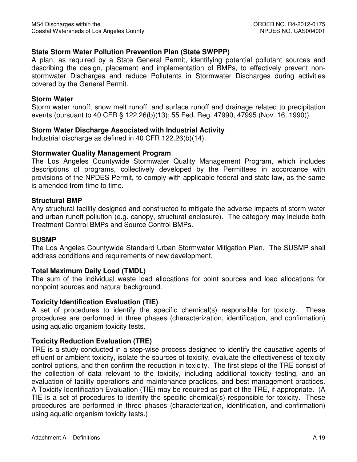### **State Storm Water Pollution Prevention Plan (State SWPPP)**

 A plan, as required by a State General Permit, identifying potential pollutant sources and describing the design, placement and implementation of BMPs, to effectively prevent non- stormwater Discharges and reduce Pollutants in Stormwater Discharges during activities covered by the General Permit.

#### **Storm Water**

 Storm water runoff, snow melt runoff, and surface runoff and drainage related to precipitation events (pursuant to 40 CFR § 122.26(b)(13); 55 Fed. Reg. 47990, 47995 (Nov. 16, 1990)).

## **Storm Water Discharge Associated with Industrial Activity**

Industrial discharge as defined in 40 CFR 122.26(b)(14).

#### **Stormwater Quality Management Program**

 The Los Angeles Countywide Stormwater Quality Management Program, which includes descriptions of programs, collectively developed by the Permittees in accordance with provisions of the NPDES Permit, to comply with applicable federal and state law, as the same is amended from time to time.

## **Structural BMP**

 Any structural facility designed and constructed to mitigate the adverse impacts of storm water and urban runoff pollution (e.g. canopy, structural enclosure). The category may include both Treatment Control BMPs and Source Control BMPs.

#### **SUSMP**

 The Los Angeles Countywide Standard Urban Stormwater Mitigation Plan. The SUSMP shall address conditions and requirements of new development.

### **Total Maximum Daily Load (TMDL)**

 The sum of the individual waste load allocations for point sources and load allocations for nonpoint sources and natural background.

#### **Toxicity Identification Evaluation (TIE)**

 A set of procedures to identify the specific chemical(s) responsible for toxicity. These procedures are performed in three phases (characterization, identification, and confirmation) using aquatic organism toxicity tests.

### **Toxicity Reduction Evaluation (TRE)**

 TRE is a study conducted in a step-wise process designed to identify the causative agents of effluent or ambient toxicity, isolate the sources of toxicity, evaluate the effectiveness of toxicity control options, and then confirm the reduction in toxicity. The first steps of the TRE consist of the collection of data relevant to the toxicity, including additional toxicity testing, and an evaluation of facility operations and maintenance practices, and best management practices. A Toxicity Identification Evaluation (TIE) may be required as part of the TRE, if appropriate. (A TIE is a set of procedures to identify the specific chemical(s) responsible for toxicity. These procedures are performed in three phases (characterization, identification, and confirmation) using aquatic organism toxicity tests.)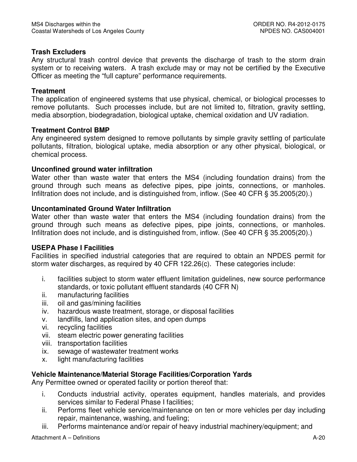### **Trash Excluders**

 Any structural trash control device that prevents the discharge of trash to the storm drain system or to receiving waters. A trash exclude may or may not be certified by the Executive Officer as meeting the "full capture" performance requirements.

## **Treatment**

 The application of engineered systems that use physical, chemical, or biological processes to remove pollutants. Such processes include, but are not limited to, filtration, gravity settling, media absorption, biodegradation, biological uptake, chemical oxidation and UV radiation.

## **Treatment Control BMP**

 Any engineered system designed to remove pollutants by simple gravity settling of particulate pollutants, filtration, biological uptake, media absorption or any other physical, biological, or chemical process.

## **Unconfined ground water infiltration**

 Water other than waste water that enters the MS4 (including foundation drains) from the ground through such means as defective pipes, pipe joints, connections, or manholes. Infiltration does not include, and is distinguished from, inflow. (See 40 CFR § 35.2005(20).)

## **Uncontaminated Ground Water Infiltration**

 Water other than waste water that enters the MS4 (including foundation drains) from the ground through such means as defective pipes, pipe joints, connections, or manholes. Infiltration does not include, and is distinguished from, inflow. (See 40 CFR § 35.2005(20).)

# **USEPA Phase I Facilities**

 Facilities in specified industrial categories that are required to obtain an NPDES permit for storm water discharges, as required by 40 CFR 122.26(c). These categories include:

- i. facilities subject to storm water effluent limitation guidelines, new source performance standards, or toxic pollutant effluent standards (40 CFR N)
- ii. manufacturing facilities
- iii. oil and gas/mining facilities
- iv. hazardous waste treatment, storage, or disposal facilities
- $V_{-}$ landfills, land application sites, and open dumps
- vi. recycling facilities
- vii. steam electric power generating facilities
- viii. transportation facilities
- ix. sewage of wastewater treatment works
- $X_{\cdot}$ light manufacturing facilities

# **Vehicle Maintenance/Material Storage Facilities/Corporation Yards**

Any Permittee owned or operated facility or portion thereof that:

- i. Conducts industrial activity, operates equipment, handles materials, and provides services similar to Federal Phase I facilities;
- ii. Performs fleet vehicle service/maintenance on ten or more vehicles per day including repair, maintenance, washing, and fueling;
- iii. Performs maintenance and/or repair of heavy industrial machinery/equipment; and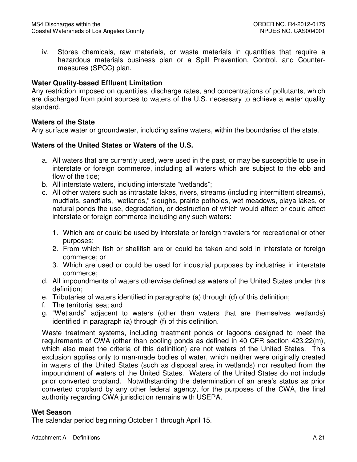iv. hazardous materials business plan or a Spill Prevention, Control, and Counter- measures (SPCC) plan. Stores chemicals, raw materials, or waste materials in quantities that require a

# **Water Quality-based Effluent Limitation**

 Any restriction imposed on quantities, discharge rates, and concentrations of pollutants, which are discharged from point sources to waters of the U.S. necessary to achieve a water quality standard.

## **Waters of the State**

Any surface water or groundwater, including saline waters, within the boundaries of the state.

### **Waters of the United States or Waters of the U.S.**

- a. All waters that are currently used, were used in the past, or may be susceptible to use in interstate or foreign commerce, including all waters which are subject to the ebb and flow of the tide;
- b. All interstate waters, including interstate "wetlands";
- c. All other waters such as intrastate lakes, rivers, streams (including intermittent streams), mudflats, sandflats, "wetlands," sloughs, prairie potholes, wet meadows, playa lakes, or natural ponds the use, degradation, or destruction of which would affect or could affect interstate or foreign commerce including any such waters:
	- 1. Which are or could be used by interstate or foreign travelers for recreational or other purposes;
	- 2. From which fish or shellfish are or could be taken and sold in interstate or foreign commerce; or
	- 3. Which are used or could be used for industrial purposes by industries in interstate commerce;
- d. All impoundments of waters otherwise defined as waters of the United States under this definition;
- e. Tributaries of waters identified in paragraphs (a) through (d) of this definition;
- f. The territorial sea; and
- g. "Wetlands" adjacent to waters (other than waters that are themselves wetlands) identified in paragraph (a) through (f) of this definition.

 Waste treatment systems, including treatment ponds or lagoons designed to meet the requirements of CWA (other than cooling ponds as defined in 40 CFR section 423.22(m), which also meet the criteria of this definition) are not waters of the United States. This exclusion applies only to man-made bodies of water, which neither were originally created in waters of the United States (such as disposal area in wetlands) nor resulted from the impoundment of waters of the United States. Waters of the United States do not include prior converted cropland. Notwithstanding the determination of an area's status as prior converted cropland by any other federal agency, for the purposes of the CWA, the final authority regarding CWA jurisdiction remains with USEPA.

### **Wet Season**

The calendar period beginning October 1 through April 15.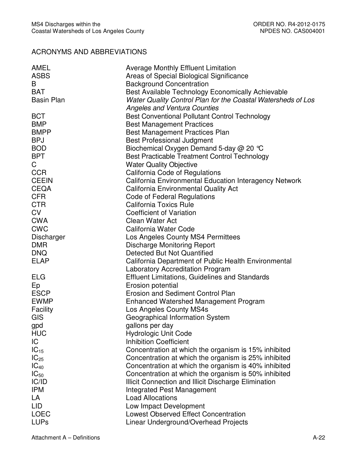# ACRONYMS AND ABBREVIATIONS

| AMEL              | <b>Average Monthly Effluent Limitation</b>                   |
|-------------------|--------------------------------------------------------------|
| <b>ASBS</b>       | Areas of Special Biological Significance                     |
| B                 | <b>Background Concentration</b>                              |
| <b>BAT</b>        | Best Available Technology Economically Achievable            |
| <b>Basin Plan</b> | Water Quality Control Plan for the Coastal Watersheds of Los |
|                   | <b>Angeles and Ventura Counties</b>                          |
| <b>BCT</b>        | <b>Best Conventional Pollutant Control Technology</b>        |
| <b>BMP</b>        | <b>Best Management Practices</b>                             |
| <b>BMPP</b>       | <b>Best Management Practices Plan</b>                        |
| <b>BPJ</b>        | <b>Best Professional Judgment</b>                            |
| <b>BOD</b>        | Biochemical Oxygen Demand 5-day @ 20 °C                      |
| <b>BPT</b>        | Best Practicable Treatment Control Technology                |
| C                 | <b>Water Quality Objective</b>                               |
| <b>CCR</b>        | California Code of Regulations                               |
| <b>CEEIN</b>      | California Environmental Education Interagency Network       |
| <b>CEQA</b>       | California Environmental Quality Act                         |
| <b>CFR</b>        | Code of Federal Regulations                                  |
| <b>CTR</b>        | <b>California Toxics Rule</b>                                |
| <b>CV</b>         | <b>Coefficient of Variation</b>                              |
| <b>CWA</b>        | Clean Water Act                                              |
| <b>CWC</b>        | California Water Code                                        |
| Discharger        | Los Angeles County MS4 Permittees                            |
| <b>DMR</b>        | Discharge Monitoring Report                                  |
| <b>DNQ</b>        | Detected But Not Quantified                                  |
| <b>ELAP</b>       | California Department of Public Health Environmental         |
|                   | <b>Laboratory Accreditation Program</b>                      |
| <b>ELG</b>        | <b>Effluent Limitations, Guidelines and Standards</b>        |
| Ep                | Erosion potential                                            |
| <b>ESCP</b>       | <b>Erosion and Sediment Control Plan</b>                     |
| <b>EWMP</b>       | <b>Enhanced Watershed Management Program</b>                 |
| Facility          | Los Angeles County MS4s                                      |
| <b>GIS</b>        | Geographical Information System                              |
| gpd               | gallons per day                                              |
| <b>HUC</b>        | <b>Hydrologic Unit Code</b>                                  |
| IC                | <b>Inhibition Coefficient</b>                                |
| $IC_{15}$         | Concentration at which the organism is 15% inhibited         |
| $IC_{25}$         | Concentration at which the organism is 25% inhibited         |
| $IC_{40}$         | Concentration at which the organism is 40% inhibited         |
| $IC_{50}$         | Concentration at which the organism is 50% inhibited         |
| IC/ID             | Illicit Connection and Illicit Discharge Elimination         |
| <b>IPM</b>        | <b>Integrated Pest Management</b>                            |
| LA                | <b>Load Allocations</b>                                      |
| <b>LID</b>        | Low Impact Development                                       |
| <b>LOEC</b>       | <b>Lowest Observed Effect Concentration</b>                  |
|                   |                                                              |
| <b>LUPs</b>       | Linear Underground/Overhead Projects                         |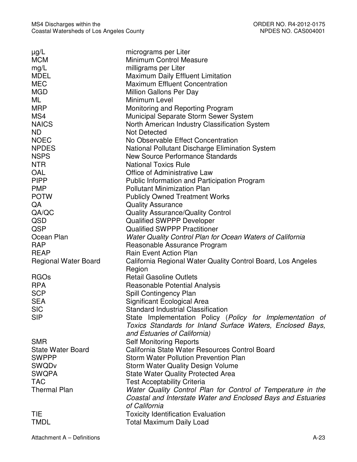| $\mu g/L$                   | micrograms per Liter                                                          |
|-----------------------------|-------------------------------------------------------------------------------|
| <b>MCM</b>                  | <b>Minimum Control Measure</b>                                                |
| mg/L                        | milligrams per Liter                                                          |
| <b>MDEL</b>                 | <b>Maximum Daily Effluent Limitation</b>                                      |
| <b>MEC</b>                  | <b>Maximum Effluent Concentration</b>                                         |
| <b>MGD</b>                  | Million Gallons Per Day                                                       |
| ML                          | Minimum Level                                                                 |
| <b>MRP</b>                  | Monitoring and Reporting Program                                              |
| MS4                         | <b>Municipal Separate Storm Sewer System</b>                                  |
| <b>NAICS</b>                | North American Industry Classification System                                 |
| ND.                         | <b>Not Detected</b>                                                           |
| <b>NOEC</b>                 | No Observable Effect Concentration                                            |
| <b>NPDES</b>                | National Pollutant Discharge Elimination System                               |
| <b>NSPS</b>                 | <b>New Source Performance Standards</b>                                       |
| <b>NTR</b>                  | <b>National Toxics Rule</b>                                                   |
| OAL                         |                                                                               |
|                             | Office of Administrative Law                                                  |
| <b>PIPP</b>                 | <b>Public Information and Participation Program</b>                           |
| <b>PMP</b>                  | <b>Pollutant Minimization Plan</b>                                            |
| <b>POTW</b>                 | <b>Publicly Owned Treatment Works</b>                                         |
| QA                          | <b>Quality Assurance</b>                                                      |
| QA/QC                       | <b>Quality Assurance/Quality Control</b>                                      |
| QSD                         | <b>Qualified SWPPP Developer</b>                                              |
| QSP                         | <b>Qualified SWPPP Practitioner</b>                                           |
| Ocean Plan                  | Water Quality Control Plan for Ocean Waters of California                     |
| <b>RAP</b>                  | Reasonable Assurance Program                                                  |
| <b>REAP</b>                 | Rain Event Action Plan                                                        |
| <b>Regional Water Board</b> | California Regional Water Quality Control Board, Los Angeles<br>Region        |
| <b>RGOs</b>                 | <b>Retail Gasoline Outlets</b>                                                |
| <b>RPA</b>                  | <b>Reasonable Potential Analysis</b>                                          |
| <b>SCP</b>                  | Spill Contingency Plan                                                        |
| <b>SEA</b>                  | Significant Ecological Area                                                   |
| <b>SIC</b>                  | <b>Standard Industrial Classification</b>                                     |
| <b>SIP</b>                  | State Implementation Policy (Policy for Implementation of                     |
|                             | Toxics Standards for Inland Surface Waters, Enclosed Bays,                    |
|                             | and Estuaries of California)                                                  |
| <b>SMR</b>                  | <b>Self Monitoring Reports</b>                                                |
| <b>State Water Board</b>    | California State Water Resources Control Board                                |
| <b>SWPPP</b>                | <b>Storm Water Pollution Prevention Plan</b>                                  |
| <b>SWQDv</b>                | <b>Storm Water Quality Design Volume</b>                                      |
| <b>SWQPA</b>                | <b>State Water Quality Protected Area</b>                                     |
| <b>TAC</b>                  | <b>Test Acceptability Criteria</b>                                            |
| <b>Thermal Plan</b>         |                                                                               |
|                             | Water Quality Control Plan for Control of Temperature in the                  |
|                             | Coastal and Interstate Water and Enclosed Bays and Estuaries<br>of California |
|                             |                                                                               |
| TIE                         | <b>Toxicity Identification Evaluation</b>                                     |
| <b>TMDL</b>                 | <b>Total Maximum Daily Load</b>                                               |